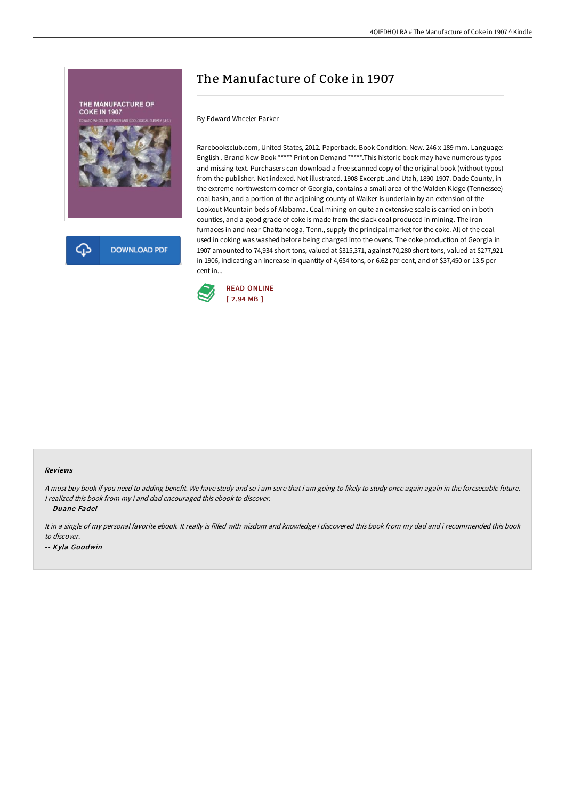

## The Manufacture of Coke in 1907

## By Edward Wheeler Parker

Rarebooksclub.com, United States, 2012. Paperback. Book Condition: New. 246 x 189 mm. Language: English . Brand New Book \*\*\*\*\* Print on Demand \*\*\*\*\*.This historic book may have numerous typos and missing text. Purchasers can download a free scanned copy of the original book (without typos) from the publisher. Not indexed. Not illustrated. 1908 Excerpt: .and Utah, 1890-1907. Dade County, in the extreme northwestern corner of Georgia, contains a small area of the Walden Kidge (Tennessee) coal basin, and a portion of the adjoining county of Walker is underlain by an extension of the Lookout Mountain beds of Alabama. Coal mining on quite an extensive scale is carried on in both counties, and a good grade of coke is made from the slack coal produced in mining. The iron furnaces in and near Chattanooga, Tenn., supply the principal market for the coke. All of the coal used in coking was washed before being charged into the ovens. The coke production of Georgia in 1907 amounted to 74,934 short tons, valued at \$315,371, against 70,280 short tons, valued at \$277,921 in 1906, indicating an increase in quantity of 4,654 tons, or 6.62 per cent, and of \$37,450 or 13.5 per cent in...



## Reviews

A must buy book if you need to adding benefit. We have study and so i am sure that i am going to likely to study once again again in the foreseeable future. <sup>I</sup> realized this book from my i and dad encouraged this ebook to discover.

-- Duane Fadel

It in <sup>a</sup> single of my personal favorite ebook. It really is filled with wisdom and knowledge <sup>I</sup> discovered this book from my dad and i recommended this book to discover.

-- Kyla Goodwin